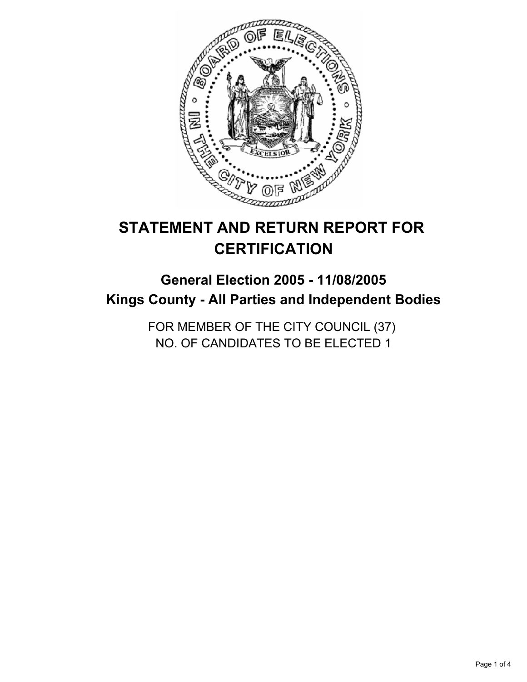

# **STATEMENT AND RETURN REPORT FOR CERTIFICATION**

# **General Election 2005 - 11/08/2005 Kings County - All Parties and Independent Bodies**

FOR MEMBER OF THE CITY COUNCIL (37) NO. OF CANDIDATES TO BE ELECTED 1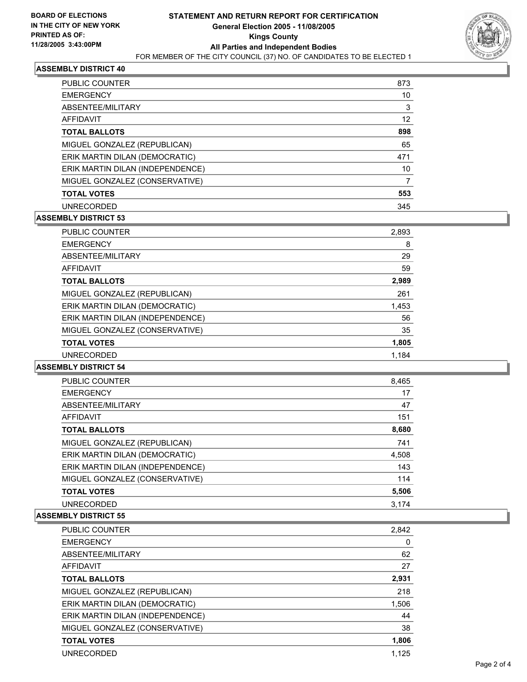

# **ASSEMBLY DISTRICT 40**

| <b>PUBLIC COUNTER</b>            | 873 |
|----------------------------------|-----|
| <b>EMERGENCY</b>                 | 10  |
| ABSENTEE/MILITARY                | 3   |
| AFFIDAVIT                        | 12  |
| <b>TOTAL BALLOTS</b>             | 898 |
| MIGUEL GONZALEZ (REPUBLICAN)     | 65  |
| ERIK MARTIN DILAN (DEMOCRATIC)   | 471 |
| ERIK MARTIN DILAN (INDEPENDENCE) | 10  |
| MIGUEL GONZALEZ (CONSERVATIVE)   |     |
| <b>TOTAL VOTES</b>               | 553 |
| <b>UNRECORDED</b>                | 345 |

# **ASSEMBLY DISTRICT 53**

| <b>PUBLIC COUNTER</b>            | 2,893 |
|----------------------------------|-------|
| <b>EMERGENCY</b>                 | 8     |
| ABSENTEE/MILITARY                | 29    |
| <b>AFFIDAVIT</b>                 | 59    |
| <b>TOTAL BALLOTS</b>             | 2,989 |
| MIGUEL GONZALEZ (REPUBLICAN)     | 261   |
| ERIK MARTIN DILAN (DEMOCRATIC)   | 1,453 |
| ERIK MARTIN DILAN (INDEPENDENCE) | 56    |
| MIGUEL GONZALEZ (CONSERVATIVE)   | 35    |
| <b>TOTAL VOTES</b>               | 1,805 |
| <b>UNRECORDED</b>                | 1.184 |

#### **ASSEMBLY DISTRICT 54**

| <b>PUBLIC COUNTER</b>            | 8,465 |
|----------------------------------|-------|
| <b>EMERGENCY</b>                 | 17    |
| ABSENTEE/MILITARY                | 47    |
| AFFIDAVIT                        | 151   |
| <b>TOTAL BALLOTS</b>             | 8,680 |
| MIGUEL GONZALEZ (REPUBLICAN)     | 741   |
| ERIK MARTIN DILAN (DEMOCRATIC)   | 4,508 |
| ERIK MARTIN DILAN (INDEPENDENCE) | 143   |
| MIGUEL GONZALEZ (CONSERVATIVE)   | 114   |
| <b>TOTAL VOTES</b>               | 5,506 |
| <b>UNRECORDED</b>                | 3.174 |

#### **ASSEMBLY DISTRICT 55**

| <b>PUBLIC COUNTER</b>            | 2,842 |
|----------------------------------|-------|
| <b>EMERGENCY</b>                 | 0     |
| ABSENTEE/MILITARY                | 62    |
| AFFIDAVIT                        | 27    |
| <b>TOTAL BALLOTS</b>             | 2,931 |
| MIGUEL GONZALEZ (REPUBLICAN)     | 218   |
| ERIK MARTIN DILAN (DEMOCRATIC)   | 1,506 |
| ERIK MARTIN DILAN (INDEPENDENCE) | 44    |
| MIGUEL GONZALEZ (CONSERVATIVE)   | 38    |
| <b>TOTAL VOTES</b>               | 1,806 |
| <b>UNRECORDED</b>                | 1.125 |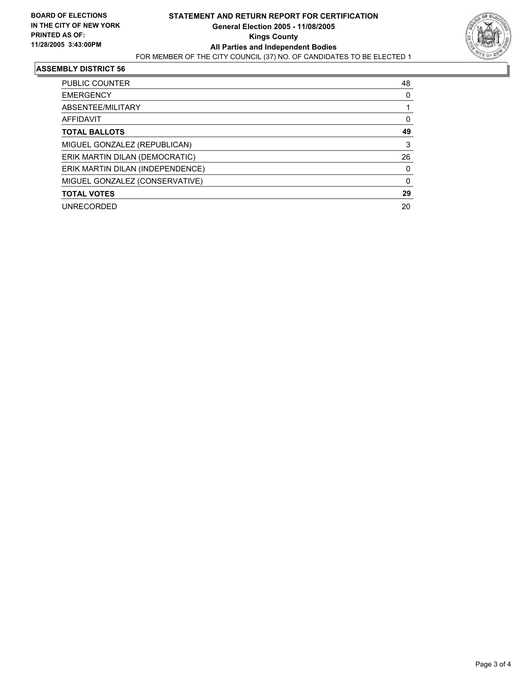

#### **ASSEMBLY DISTRICT 56**

| PUBLIC COUNTER                   | 48 |  |
|----------------------------------|----|--|
| <b>EMERGENCY</b>                 |    |  |
| ABSENTEE/MILITARY                |    |  |
| AFFIDAVIT                        |    |  |
| <b>TOTAL BALLOTS</b>             | 49 |  |
| MIGUEL GONZALEZ (REPUBLICAN)     | 3  |  |
| ERIK MARTIN DILAN (DEMOCRATIC)   | 26 |  |
| ERIK MARTIN DILAN (INDEPENDENCE) |    |  |
| MIGUEL GONZALEZ (CONSERVATIVE)   |    |  |
| <b>TOTAL VOTES</b>               | 29 |  |
| <b>UNRECORDED</b>                | 20 |  |